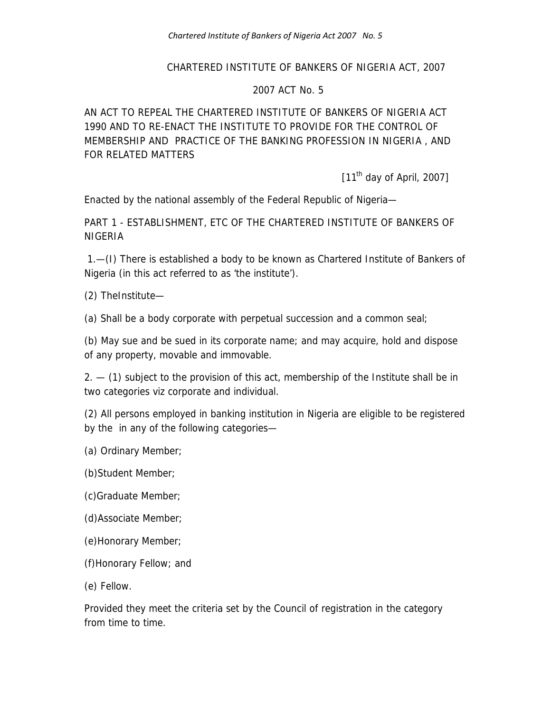#### CHARTERED INSTITUTE OF BANKERS OF NIGERIA ACT, 2007

#### 2007 ACT No. 5

AN ACT TO REPEAL THE CHARTERED INSTITUTE OF BANKERS OF NIGERIA ACT 1990 AND TO RE-ENACT THE INSTITUTE TO PROVIDE FOR THE CONTROL OF MEMBERSHIP AND PRACTICE OF THE BANKING PROFESSION IN NIGERIA , AND FOR RELATED MATTERS

[11<sup>th</sup> day of April, 2007]

Enacted by the national assembly of the Federal Republic of Nigeria—

PART 1 - ESTABLISHMENT, ETC OF THE CHARTERED INSTITUTE OF BANKERS OF NIGERIA

 1.—(I) There is established a body to be known as Chartered Institute of Bankers of Nigeria (in this act referred to as 'the institute').

(2) TheInstitute—

(a) Shall be a body corporate with perpetual succession and a common seal;

(b) May sue and be sued in its corporate name; and may acquire, hold and dispose of any property, movable and immovable.

 $2. - (1)$  subject to the provision of this act, membership of the Institute shall be in two categories viz corporate and individual.

(2) All persons employed in banking institution in Nigeria are eligible to be registered by the in any of the following categories—

(a) Ordinary Member;

(b)Student Member;

(c)Graduate Member;

(d)Associate Member;

(e)Honorary Member;

(f)Honorary Fellow; and

(e) Fellow.

Provided they meet the criteria set by the Council of registration in the category from time to time.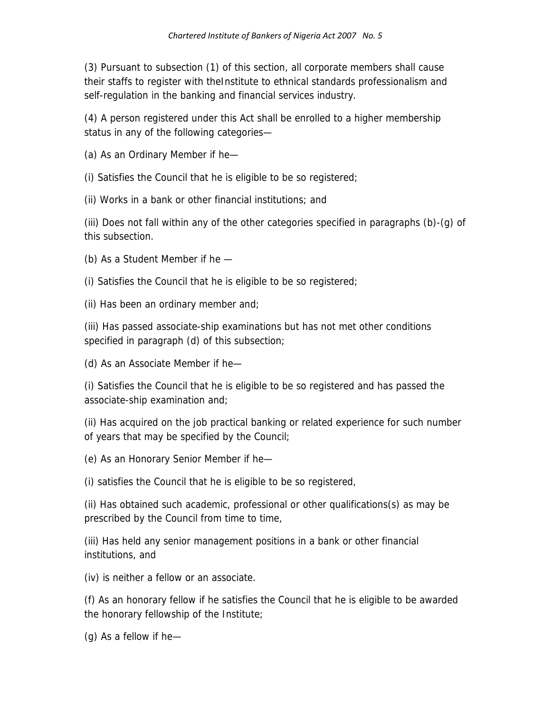(3) Pursuant to subsection (1) of this section, all corporate members shall cause their staffs to register with theInstitute to ethnical standards professionalism and self-regulation in the banking and financial services industry.

(4) A person registered under this Act shall be enrolled to a higher membership status in any of the following categories—

(a) As an Ordinary Member if he—

(i) Satisfies the Council that he is eligible to be so registered;

(ii) Works in a bank or other financial institutions; and

(iii) Does not fall within any of the other categories specified in paragraphs (b)-(g) of this subsection.

- (b) As a Student Member if he —
- (i) Satisfies the Council that he is eligible to be so registered;

(ii) Has been an ordinary member and;

(iii) Has passed associate-ship examinations but has not met other conditions specified in paragraph (d) of this subsection;

(d) As an Associate Member if he—

(i) Satisfies the Council that he is eligible to be so registered and has passed the associate-ship examination and;

(ii) Has acquired on the job practical banking or related experience for such number of years that may be specified by the Council;

(e) As an Honorary Senior Member if he—

(i) satisfies the Council that he is eligible to be so registered,

(ii) Has obtained such academic, professional or other qualifications(s) as may be prescribed by the Council from time to time,

(iii) Has held any senior management positions in a bank or other financial institutions, and

(iv) is neither a fellow or an associate.

(f) As an honorary fellow if he satisfies the Council that he is eligible to be awarded the honorary fellowship of the Institute;

(g) As a fellow if he—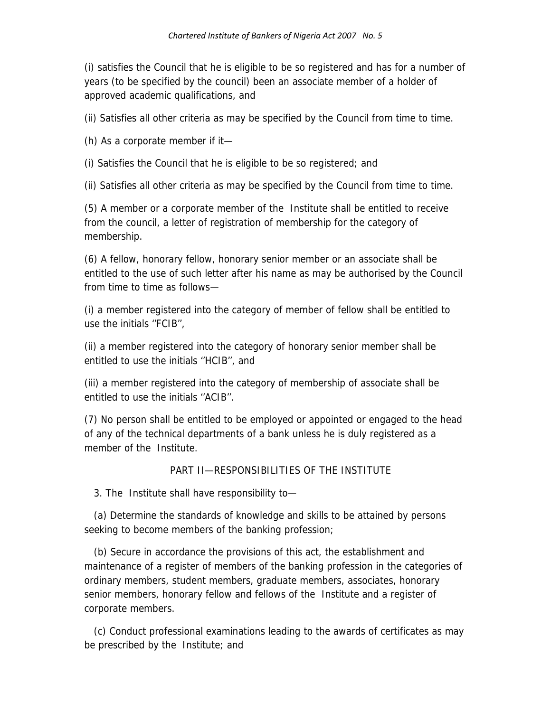(i) satisfies the Council that he is eligible to be so registered and has for a number of years (to be specified by the council) been an associate member of a holder of approved academic qualifications, and

(ii) Satisfies all other criteria as may be specified by the Council from time to time.

(h) As a corporate member if it—

(i) Satisfies the Council that he is eligible to be so registered; and

(ii) Satisfies all other criteria as may be specified by the Council from time to time.

(5) A member or a corporate member of the Institute shall be entitled to receive from the council, a letter of registration of membership for the category of membership.

(6) A fellow, honorary fellow, honorary senior member or an associate shall be entitled to the use of such letter after his name as may be authorised by the Council from time to time as follows—

(i) a member registered into the category of member of fellow shall be entitled to use the initials ''FCIB'',

(ii) a member registered into the category of honorary senior member shall be entitled to use the initials ''HCIB'', and

(iii) a member registered into the category of membership of associate shall be entitled to use the initials ''ACIB''.

(7) No person shall be entitled to be employed or appointed or engaged to the head of any of the technical departments of a bank unless he is duly registered as a member of the Institute.

### PART II—RESPONSIBILITIES OF THE INSTITUTE

3. The Institute shall have responsibility to—

 (a) Determine the standards of knowledge and skills to be attained by persons seeking to become members of the banking profession;

 (b) Secure in accordance the provisions of this act, the establishment and maintenance of a register of members of the banking profession in the categories of ordinary members, student members, graduate members, associates, honorary senior members, honorary fellow and fellows of the Institute and a register of corporate members.

 (c) Conduct professional examinations leading to the awards of certificates as may be prescribed by the Institute; and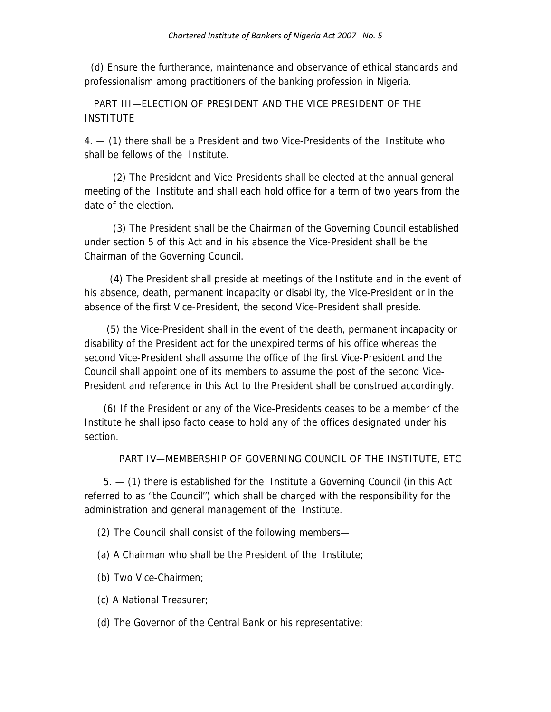(d) Ensure the furtherance, maintenance and observance of ethical standards and professionalism among practitioners of the banking profession in Nigeria.

 PART III—ELECTION OF PRESIDENT AND THE VICE PRESIDENT OF THE INSTITUTE

4. — (1) there shall be a President and two Vice-Presidents of the Institute who shall be fellows of the Institute.

 (2) The President and Vice-Presidents shall be elected at the annual general meeting of the Institute and shall each hold office for a term of two years from the date of the election.

 (3) The President shall be the Chairman of the Governing Council established under section 5 of this Act and in his absence the Vice-President shall be the Chairman of the Governing Council.

 (4) The President shall preside at meetings of the Institute and in the event of his absence, death, permanent incapacity or disability, the Vice-President or in the absence of the first Vice-President, the second Vice-President shall preside.

 (5) the Vice-President shall in the event of the death, permanent incapacity or disability of the President act for the unexpired terms of his office whereas the second Vice-President shall assume the office of the first Vice-President and the Council shall appoint one of its members to assume the post of the second Vice-President and reference in this Act to the President shall be construed accordingly.

 (6) If the President or any of the Vice-Presidents ceases to be a member of the Institute he shall ipso facto cease to hold any of the offices designated under his section.

PART IV—MEMBERSHIP OF GOVERNING COUNCIL OF THE INSTITUTE, ETC

 5. — (1) there is established for the Institute a Governing Council (in this Act referred to as ''the Council'') which shall be charged with the responsibility for the administration and general management of the Institute.

(2) The Council shall consist of the following members—

(a) A Chairman who shall be the President of the Institute;

- (b) Two Vice-Chairmen;
- (c) A National Treasurer;

(d) The Governor of the Central Bank or his representative;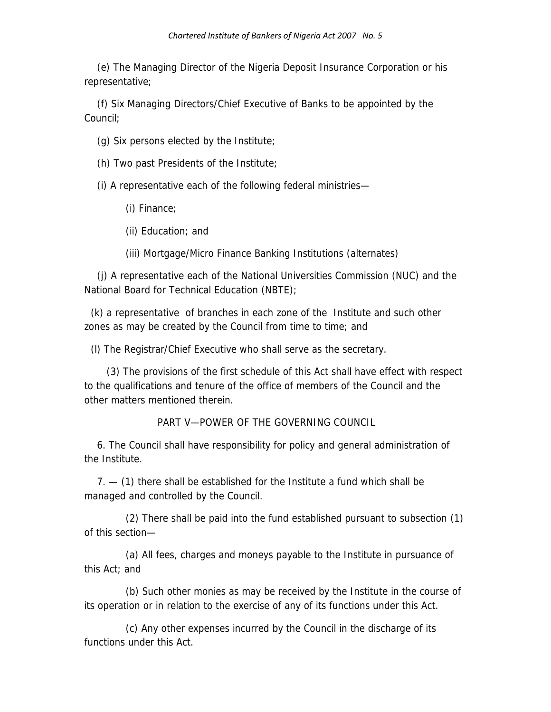(e) The Managing Director of the Nigeria Deposit Insurance Corporation or his representative;

 (f) Six Managing Directors/Chief Executive of Banks to be appointed by the Council;

(g) Six persons elected by the Institute;

(h) Two past Presidents of the Institute;

(i) A representative each of the following federal ministries—

(i) Finance;

(ii) Education; and

(iii) Mortgage/Micro Finance Banking Institutions (alternates)

 (j) A representative each of the National Universities Commission (NUC) and the National Board for Technical Education (NBTE);

 (k) a representative of branches in each zone of the Institute and such other zones as may be created by the Council from time to time; and

(l) The Registrar/Chief Executive who shall serve as the secretary.

 (3) The provisions of the first schedule of this Act shall have effect with respect to the qualifications and tenure of the office of members of the Council and the other matters mentioned therein.

PART V—POWER OF THE GOVERNING COUNCIL

 6. The Council shall have responsibility for policy and general administration of the Institute.

7. - (1) there shall be established for the Institute a fund which shall be managed and controlled by the Council.

 (2) There shall be paid into the fund established pursuant to subsection (1) of this section—

 (a) All fees, charges and moneys payable to the Institute in pursuance of this Act; and

 (b) Such other monies as may be received by the Institute in the course of its operation or in relation to the exercise of any of its functions under this Act.

 (c) Any other expenses incurred by the Council in the discharge of its functions under this Act.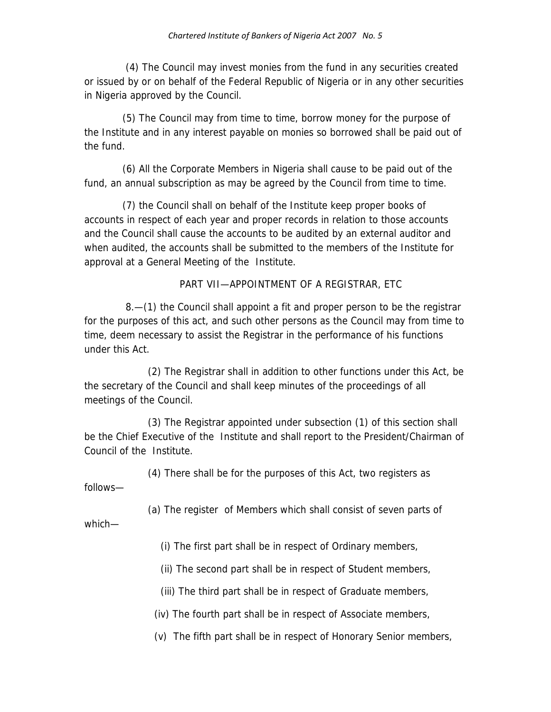(4) The Council may invest monies from the fund in any securities created or issued by or on behalf of the Federal Republic of Nigeria or in any other securities in Nigeria approved by the Council.

 (5) The Council may from time to time, borrow money for the purpose of the Institute and in any interest payable on monies so borrowed shall be paid out of the fund.

 (6) All the Corporate Members in Nigeria shall cause to be paid out of the fund, an annual subscription as may be agreed by the Council from time to time.

 (7) the Council shall on behalf of the Institute keep proper books of accounts in respect of each year and proper records in relation to those accounts and the Council shall cause the accounts to be audited by an external auditor and when audited, the accounts shall be submitted to the members of the Institute for approval at a General Meeting of the Institute.

PART VII—APPOINTMENT OF A REGISTRAR, ETC

 8.—(1) the Council shall appoint a fit and proper person to be the registrar for the purposes of this act, and such other persons as the Council may from time to time, deem necessary to assist the Registrar in the performance of his functions under this Act.

 (2) The Registrar shall in addition to other functions under this Act, be the secretary of the Council and shall keep minutes of the proceedings of all meetings of the Council.

 (3) The Registrar appointed under subsection (1) of this section shall be the Chief Executive of the Institute and shall report to the President/Chairman of Council of the Institute.

(4) There shall be for the purposes of this Act, two registers as

follows—

(a) The register of Members which shall consist of seven parts of

which—

(i) The first part shall be in respect of Ordinary members,

(ii) The second part shall be in respect of Student members,

(iii) The third part shall be in respect of Graduate members,

(iv) The fourth part shall be in respect of Associate members,

(v) The fifth part shall be in respect of Honorary Senior members,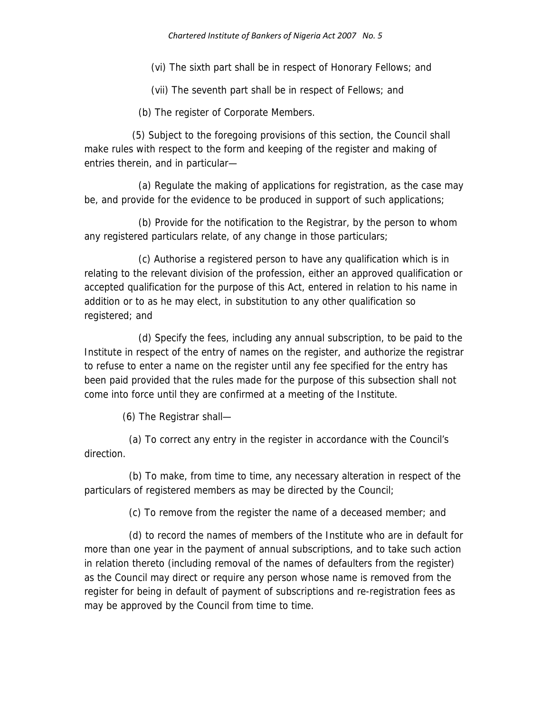(vi) The sixth part shall be in respect of Honorary Fellows; and

(vii) The seventh part shall be in respect of Fellows; and

(b) The register of Corporate Members.

 (5) Subject to the foregoing provisions of this section, the Council shall make rules with respect to the form and keeping of the register and making of entries therein, and in particular—

 (a) Regulate the making of applications for registration, as the case may be, and provide for the evidence to be produced in support of such applications;

 (b) Provide for the notification to the Registrar, by the person to whom any registered particulars relate, of any change in those particulars;

 (c) Authorise a registered person to have any qualification which is in relating to the relevant division of the profession, either an approved qualification or accepted qualification for the purpose of this Act, entered in relation to his name in addition or to as he may elect, in substitution to any other qualification so registered; and

 (d) Specify the fees, including any annual subscription, to be paid to the Institute in respect of the entry of names on the register, and authorize the registrar to refuse to enter a name on the register until any fee specified for the entry has been paid provided that the rules made for the purpose of this subsection shall not come into force until they are confirmed at a meeting of the Institute.

(6) The Registrar shall—

 (a) To correct any entry in the register in accordance with the Council's direction.

 (b) To make, from time to time, any necessary alteration in respect of the particulars of registered members as may be directed by the Council;

(c) To remove from the register the name of a deceased member; and

 (d) to record the names of members of the Institute who are in default for more than one year in the payment of annual subscriptions, and to take such action in relation thereto (including removal of the names of defaulters from the register) as the Council may direct or require any person whose name is removed from the register for being in default of payment of subscriptions and re-registration fees as may be approved by the Council from time to time.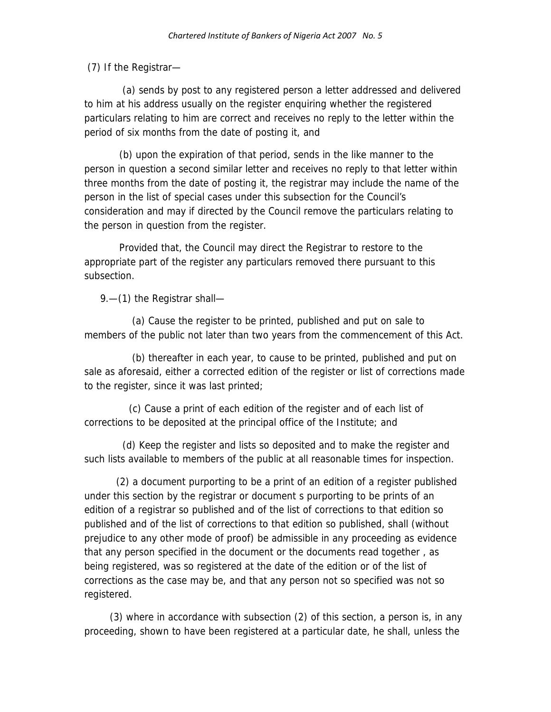(7) If the Registrar—

 (a) sends by post to any registered person a letter addressed and delivered to him at his address usually on the register enquiring whether the registered particulars relating to him are correct and receives no reply to the letter within the period of six months from the date of posting it, and

 (b) upon the expiration of that period, sends in the like manner to the person in question a second similar letter and receives no reply to that letter within three months from the date of posting it, the registrar may include the name of the person in the list of special cases under this subsection for the Council's consideration and may if directed by the Council remove the particulars relating to the person in question from the register.

 Provided that, the Council may direct the Registrar to restore to the appropriate part of the register any particulars removed there pursuant to this subsection.

9.—(1) the Registrar shall—

 (a) Cause the register to be printed, published and put on sale to members of the public not later than two years from the commencement of this Act.

 (b) thereafter in each year, to cause to be printed, published and put on sale as aforesaid, either a corrected edition of the register or list of corrections made to the register, since it was last printed;

 (c) Cause a print of each edition of the register and of each list of corrections to be deposited at the principal office of the Institute; and

 (d) Keep the register and lists so deposited and to make the register and such lists available to members of the public at all reasonable times for inspection.

 (2) a document purporting to be a print of an edition of a register published under this section by the registrar or document s purporting to be prints of an edition of a registrar so published and of the list of corrections to that edition so published and of the list of corrections to that edition so published, shall (without prejudice to any other mode of proof) be admissible in any proceeding as evidence that any person specified in the document or the documents read together , as being registered, was so registered at the date of the edition or of the list of corrections as the case may be, and that any person not so specified was not so registered.

 (3) where in accordance with subsection (2) of this section, a person is, in any proceeding, shown to have been registered at a particular date, he shall, unless the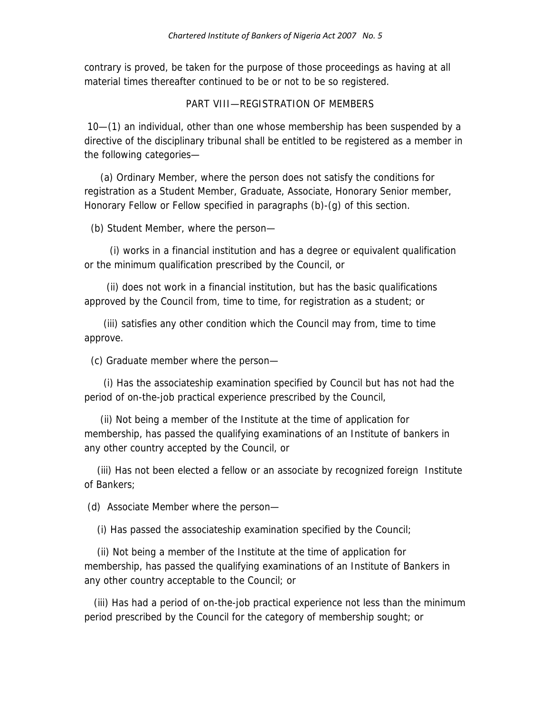contrary is proved, be taken for the purpose of those proceedings as having at all material times thereafter continued to be or not to be so registered.

#### PART VIII—REGISTRATION OF MEMBERS

 10—(1) an individual, other than one whose membership has been suspended by a directive of the disciplinary tribunal shall be entitled to be registered as a member in the following categories—

 (a) Ordinary Member, where the person does not satisfy the conditions for registration as a Student Member, Graduate, Associate, Honorary Senior member, Honorary Fellow or Fellow specified in paragraphs (b)-(g) of this section.

(b) Student Member, where the person—

 (i) works in a financial institution and has a degree or equivalent qualification or the minimum qualification prescribed by the Council, or

 (ii) does not work in a financial institution, but has the basic qualifications approved by the Council from, time to time, for registration as a student; or

 (iii) satisfies any other condition which the Council may from, time to time approve.

(c) Graduate member where the person—

 (i) Has the associateship examination specified by Council but has not had the period of on-the-job practical experience prescribed by the Council,

 (ii) Not being a member of the Institute at the time of application for membership, has passed the qualifying examinations of an Institute of bankers in any other country accepted by the Council, or

 (iii) Has not been elected a fellow or an associate by recognized foreign Institute of Bankers;

(d) Associate Member where the person—

(i) Has passed the associateship examination specified by the Council;

 (ii) Not being a member of the Institute at the time of application for membership, has passed the qualifying examinations of an Institute of Bankers in any other country acceptable to the Council; or

 (iii) Has had a period of on-the-job practical experience not less than the minimum period prescribed by the Council for the category of membership sought; or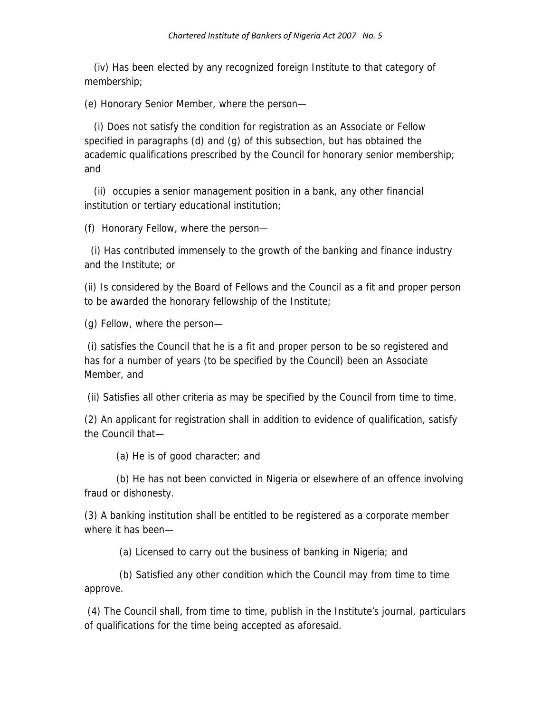(iv) Has been elected by any recognized foreign Institute to that category of membership;

(e) Honorary Senior Member, where the person—

 (i) Does not satisfy the condition for registration as an Associate or Fellow specified in paragraphs (d) and (g) of this subsection, but has obtained the academic qualifications prescribed by the Council for honorary senior membership; and

 (ii) occupies a senior management position in a bank, any other financial institution or tertiary educational institution;

(f) Honorary Fellow, where the person—

 (i) Has contributed immensely to the growth of the banking and finance industry and the Institute; or

(ii) Is considered by the Board of Fellows and the Council as a fit and proper person to be awarded the honorary fellowship of the Institute;

(g) Fellow, where the person—

 (i) satisfies the Council that he is a fit and proper person to be so registered and has for a number of years (to be specified by the Council) been an Associate Member, and

(ii) Satisfies all other criteria as may be specified by the Council from time to time.

(2) An applicant for registration shall in addition to evidence of qualification, satisfy the Council that—

(a) He is of good character; and

 (b) He has not been convicted in Nigeria or elsewhere of an offence involving fraud or dishonesty.

(3) A banking institution shall be entitled to be registered as a corporate member where it has been—

(a) Licensed to carry out the business of banking in Nigeria; and

 (b) Satisfied any other condition which the Council may from time to time approve.

 (4) The Council shall, from time to time, publish in the Institute's journal, particulars of qualifications for the time being accepted as aforesaid.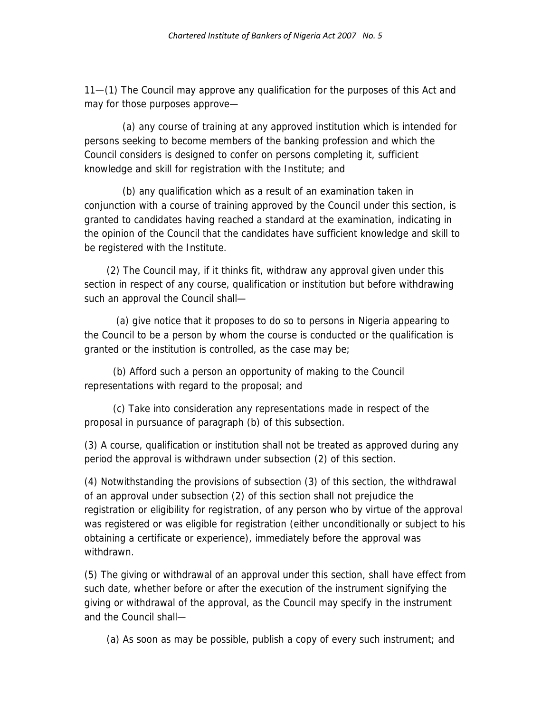11—(1) The Council may approve any qualification for the purposes of this Act and may for those purposes approve—

 (a) any course of training at any approved institution which is intended for persons seeking to become members of the banking profession and which the Council considers is designed to confer on persons completing it, sufficient knowledge and skill for registration with the Institute; and

 (b) any qualification which as a result of an examination taken in conjunction with a course of training approved by the Council under this section, is granted to candidates having reached a standard at the examination, indicating in the opinion of the Council that the candidates have sufficient knowledge and skill to be registered with the Institute.

 (2) The Council may, if it thinks fit, withdraw any approval given under this section in respect of any course, qualification or institution but before withdrawing such an approval the Council shall—

 (a) give notice that it proposes to do so to persons in Nigeria appearing to the Council to be a person by whom the course is conducted or the qualification is granted or the institution is controlled, as the case may be;

 (b) Afford such a person an opportunity of making to the Council representations with regard to the proposal; and

 (c) Take into consideration any representations made in respect of the proposal in pursuance of paragraph (b) of this subsection.

(3) A course, qualification or institution shall not be treated as approved during any period the approval is withdrawn under subsection (2) of this section.

(4) Notwithstanding the provisions of subsection (3) of this section, the withdrawal of an approval under subsection (2) of this section shall not prejudice the registration or eligibility for registration, of any person who by virtue of the approval was registered or was eligible for registration (either unconditionally or subject to his obtaining a certificate or experience), immediately before the approval was withdrawn.

(5) The giving or withdrawal of an approval under this section, shall have effect from such date, whether before or after the execution of the instrument signifying the giving or withdrawal of the approval, as the Council may specify in the instrument and the Council shall—

(a) As soon as may be possible, publish a copy of every such instrument; and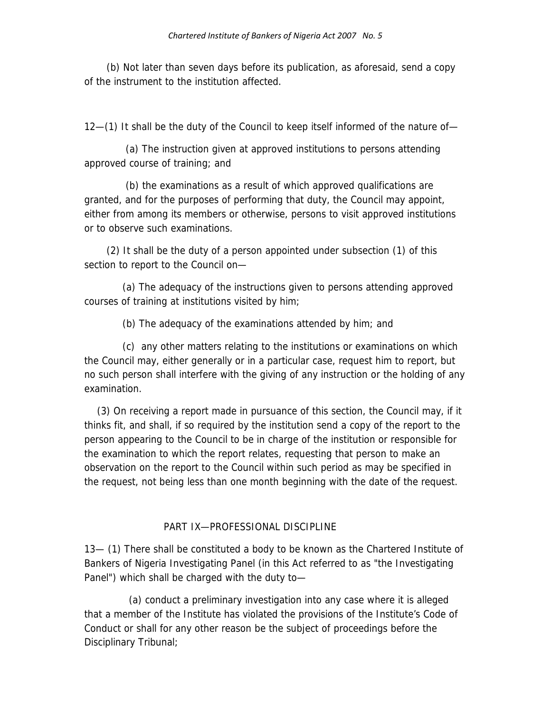(b) Not later than seven days before its publication, as aforesaid, send a copy of the instrument to the institution affected.

12—(1) It shall be the duty of the Council to keep itself informed of the nature of—

 (a) The instruction given at approved institutions to persons attending approved course of training; and

 (b) the examinations as a result of which approved qualifications are granted, and for the purposes of performing that duty, the Council may appoint, either from among its members or otherwise, persons to visit approved institutions or to observe such examinations.

 (2) It shall be the duty of a person appointed under subsection (1) of this section to report to the Council on—

 (a) The adequacy of the instructions given to persons attending approved courses of training at institutions visited by him;

(b) The adequacy of the examinations attended by him; and

 (c) any other matters relating to the institutions or examinations on which the Council may, either generally or in a particular case, request him to report, but no such person shall interfere with the giving of any instruction or the holding of any examination.

 (3) On receiving a report made in pursuance of this section, the Council may, if it thinks fit, and shall, if so required by the institution send a copy of the report to the person appearing to the Council to be in charge of the institution or responsible for the examination to which the report relates, requesting that person to make an observation on the report to the Council within such period as may be specified in the request, not being less than one month beginning with the date of the request.

## PART IX—PROFESSIONAL DISCIPLINE

13— (1) There shall be constituted a body to be known as the Chartered Institute of Bankers of Nigeria Investigating Panel (in this Act referred to as "the Investigating Panel") which shall be charged with the duty to—

 (a) conduct a preliminary investigation into any case where it is alleged that a member of the Institute has violated the provisions of the Institute's Code of Conduct or shall for any other reason be the subject of proceedings before the Disciplinary Tribunal;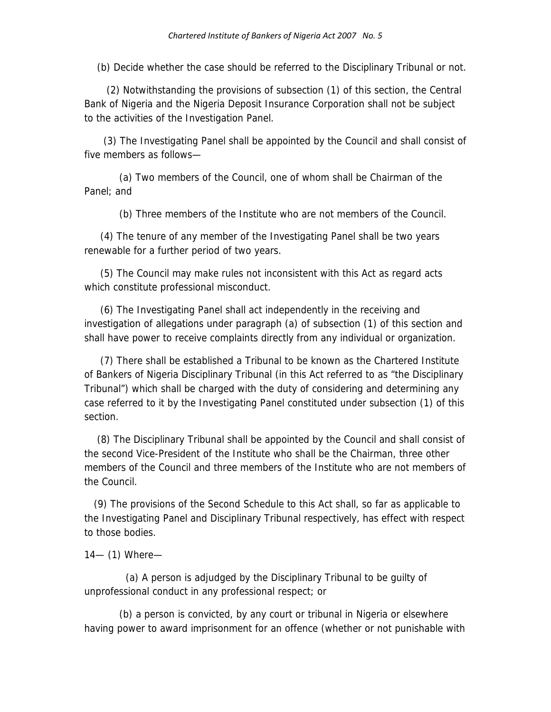(b) Decide whether the case should be referred to the Disciplinary Tribunal or not.

 (2) Notwithstanding the provisions of subsection (1) of this section, the Central Bank of Nigeria and the Nigeria Deposit Insurance Corporation shall not be subject to the activities of the Investigation Panel.

 (3) The Investigating Panel shall be appointed by the Council and shall consist of five members as follows—

 (a) Two members of the Council, one of whom shall be Chairman of the Panel; and

(b) Three members of the Institute who are not members of the Council.

 (4) The tenure of any member of the Investigating Panel shall be two years renewable for a further period of two years.

 (5) The Council may make rules not inconsistent with this Act as regard acts which constitute professional misconduct.

 (6) The Investigating Panel shall act independently in the receiving and investigation of allegations under paragraph (a) of subsection (1) of this section and shall have power to receive complaints directly from any individual or organization.

 (7) There shall be established a Tribunal to be known as the Chartered Institute of Bankers of Nigeria Disciplinary Tribunal (in this Act referred to as "the Disciplinary Tribunal") which shall be charged with the duty of considering and determining any case referred to it by the Investigating Panel constituted under subsection (1) of this section.

 (8) The Disciplinary Tribunal shall be appointed by the Council and shall consist of the second Vice-President of the Institute who shall be the Chairman, three other members of the Council and three members of the Institute who are not members of the Council.

 (9) The provisions of the Second Schedule to this Act shall, so far as applicable to the Investigating Panel and Disciplinary Tribunal respectively, has effect with respect to those bodies.

14— (1) Where—

 (a) A person is adjudged by the Disciplinary Tribunal to be guilty of unprofessional conduct in any professional respect; or

 (b) a person is convicted, by any court or tribunal in Nigeria or elsewhere having power to award imprisonment for an offence (whether or not punishable with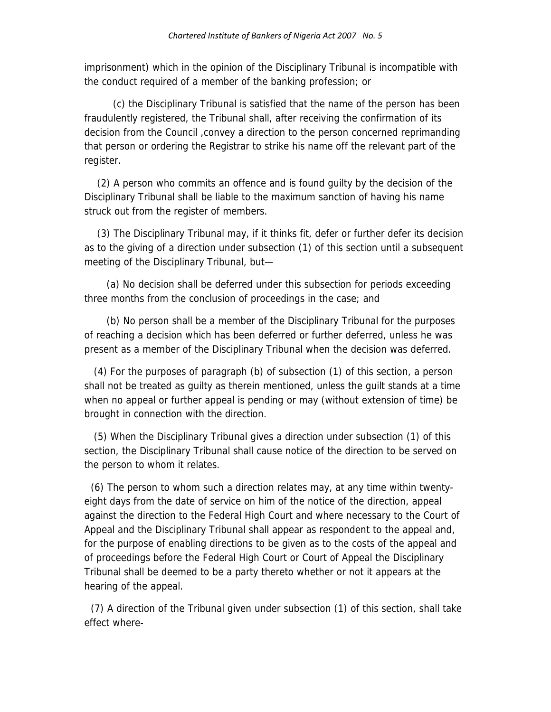imprisonment) which in the opinion of the Disciplinary Tribunal is incompatible with the conduct required of a member of the banking profession; or

 (c) the Disciplinary Tribunal is satisfied that the name of the person has been fraudulently registered, the Tribunal shall, after receiving the confirmation of its decision from the Council ,convey a direction to the person concerned reprimanding that person or ordering the Registrar to strike his name off the relevant part of the register.

 (2) A person who commits an offence and is found guilty by the decision of the Disciplinary Tribunal shall be liable to the maximum sanction of having his name struck out from the register of members.

 (3) The Disciplinary Tribunal may, if it thinks fit, defer or further defer its decision as to the giving of a direction under subsection (1) of this section until a subsequent meeting of the Disciplinary Tribunal, but—

 (a) No decision shall be deferred under this subsection for periods exceeding three months from the conclusion of proceedings in the case; and

 (b) No person shall be a member of the Disciplinary Tribunal for the purposes of reaching a decision which has been deferred or further deferred, unless he was present as a member of the Disciplinary Tribunal when the decision was deferred.

 (4) For the purposes of paragraph (b) of subsection (1) of this section, a person shall not be treated as guilty as therein mentioned, unless the guilt stands at a time when no appeal or further appeal is pending or may (without extension of time) be brought in connection with the direction.

 (5) When the Disciplinary Tribunal gives a direction under subsection (1) of this section, the Disciplinary Tribunal shall cause notice of the direction to be served on the person to whom it relates.

 (6) The person to whom such a direction relates may, at any time within twentyeight days from the date of service on him of the notice of the direction, appeal against the direction to the Federal High Court and where necessary to the Court of Appeal and the Disciplinary Tribunal shall appear as respondent to the appeal and, for the purpose of enabling directions to be given as to the costs of the appeal and of proceedings before the Federal High Court or Court of Appeal the Disciplinary Tribunal shall be deemed to be a party thereto whether or not it appears at the hearing of the appeal.

 (7) A direction of the Tribunal given under subsection (1) of this section, shall take effect where-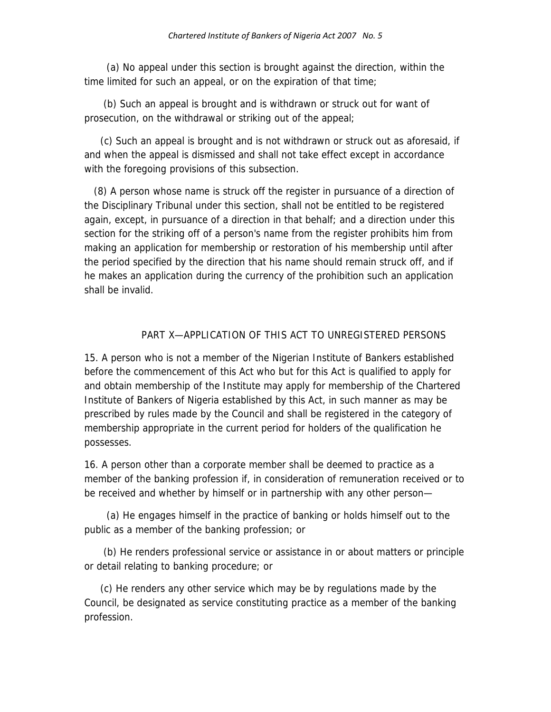(a) No appeal under this section is brought against the direction, within the time limited for such an appeal, or on the expiration of that time;

 (b) Such an appeal is brought and is withdrawn or struck out for want of prosecution, on the withdrawal or striking out of the appeal;

 (c) Such an appeal is brought and is not withdrawn or struck out as aforesaid, if and when the appeal is dismissed and shall not take effect except in accordance with the foregoing provisions of this subsection.

 (8) A person whose name is struck off the register in pursuance of a direction of the Disciplinary Tribunal under this section, shall not be entitled to be registered again, except, in pursuance of a direction in that behalf; and a direction under this section for the striking off of a person's name from the register prohibits him from making an application for membership or restoration of his membership until after the period specified by the direction that his name should remain struck off, and if he makes an application during the currency of the prohibition such an application shall be invalid.

### PART X—APPLICATION OF THIS ACT TO UNREGISTERED PERSONS

15. A person who is not a member of the Nigerian Institute of Bankers established before the commencement of this Act who but for this Act is qualified to apply for and obtain membership of the Institute may apply for membership of the Chartered Institute of Bankers of Nigeria established by this Act, in such manner as may be prescribed by rules made by the Council and shall be registered in the category of membership appropriate in the current period for holders of the qualification he possesses.

16. A person other than a corporate member shall be deemed to practice as a member of the banking profession if, in consideration of remuneration received or to be received and whether by himself or in partnership with any other person—

 (a) He engages himself in the practice of banking or holds himself out to the public as a member of the banking profession; or

 (b) He renders professional service or assistance in or about matters or principle or detail relating to banking procedure; or

 (c) He renders any other service which may be by regulations made by the Council, be designated as service constituting practice as a member of the banking profession.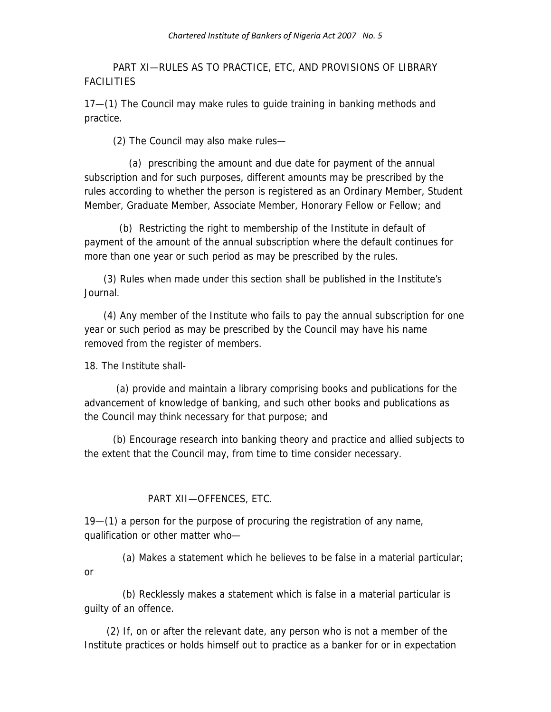PART XI—RULES AS TO PRACTICE, ETC, AND PROVISIONS OF LIBRARY FACILITIES

17—(1) The Council may make rules to guide training in banking methods and practice.

(2) The Council may also make rules—

 (a) prescribing the amount and due date for payment of the annual subscription and for such purposes, different amounts may be prescribed by the rules according to whether the person is registered as an Ordinary Member, Student Member, Graduate Member, Associate Member, Honorary Fellow or Fellow; and

 (b) Restricting the right to membership of the Institute in default of payment of the amount of the annual subscription where the default continues for more than one year or such period as may be prescribed by the rules.

 (3) Rules when made under this section shall be published in the Institute's Journal.

 (4) Any member of the Institute who fails to pay the annual subscription for one year or such period as may be prescribed by the Council may have his name removed from the register of members.

18. The Institute shall-

 (a) provide and maintain a library comprising books and publications for the advancement of knowledge of banking, and such other books and publications as the Council may think necessary for that purpose; and

 (b) Encourage research into banking theory and practice and allied subjects to the extent that the Council may, from time to time consider necessary.

## PART XII—OFFENCES, ETC.

19—(1) a person for the purpose of procuring the registration of any name, qualification or other matter who—

 (a) Makes a statement which he believes to be false in a material particular; or

 (b) Recklessly makes a statement which is false in a material particular is guilty of an offence.

 (2) If, on or after the relevant date, any person who is not a member of the Institute practices or holds himself out to practice as a banker for or in expectation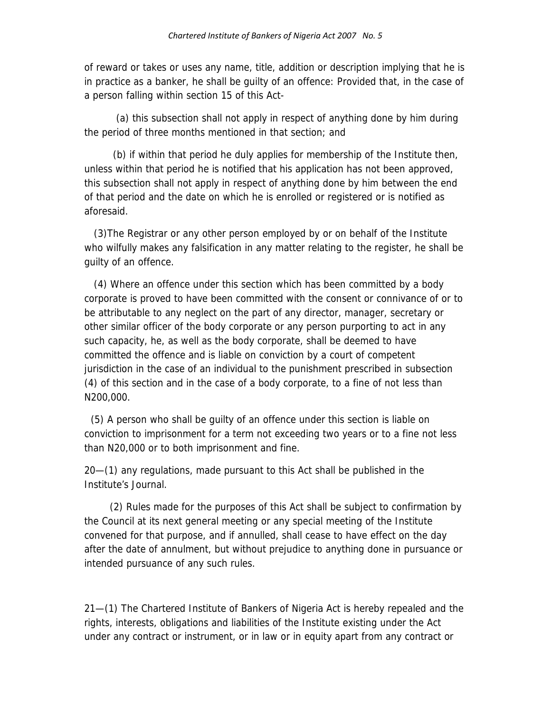of reward or takes or uses any name, title, addition or description implying that he is in practice as a banker, he shall be guilty of an offence: Provided that, in the case of a person falling within section 15 of this Act-

 (a) this subsection shall not apply in respect of anything done by him during the period of three months mentioned in that section; and

 (b) if within that period he duly applies for membership of the Institute then, unless within that period he is notified that his application has not been approved, this subsection shall not apply in respect of anything done by him between the end of that period and the date on which he is enrolled or registered or is notified as aforesaid.

 (3)The Registrar or any other person employed by or on behalf of the Institute who wilfully makes any falsification in any matter relating to the register, he shall be guilty of an offence.

 (4) Where an offence under this section which has been committed by a body corporate is proved to have been committed with the consent or connivance of or to be attributable to any neglect on the part of any director, manager, secretary or other similar officer of the body corporate or any person purporting to act in any such capacity, he, as well as the body corporate, shall be deemed to have committed the offence and is liable on conviction by a court of competent jurisdiction in the case of an individual to the punishment prescribed in subsection (4) of this section and in the case of a body corporate, to a fine of not less than N200,000.

 (5) A person who shall be guilty of an offence under this section is liable on conviction to imprisonment for a term not exceeding two years or to a fine not less than N20,000 or to both imprisonment and fine.

20—(1) any regulations, made pursuant to this Act shall be published in the Institute's Journal.

 (2) Rules made for the purposes of this Act shall be subject to confirmation by the Council at its next general meeting or any special meeting of the Institute convened for that purpose, and if annulled, shall cease to have effect on the day after the date of annulment, but without prejudice to anything done in pursuance or intended pursuance of any such rules.

21—(1) The Chartered Institute of Bankers of Nigeria Act is hereby repealed and the rights, interests, obligations and liabilities of the Institute existing under the Act under any contract or instrument, or in law or in equity apart from any contract or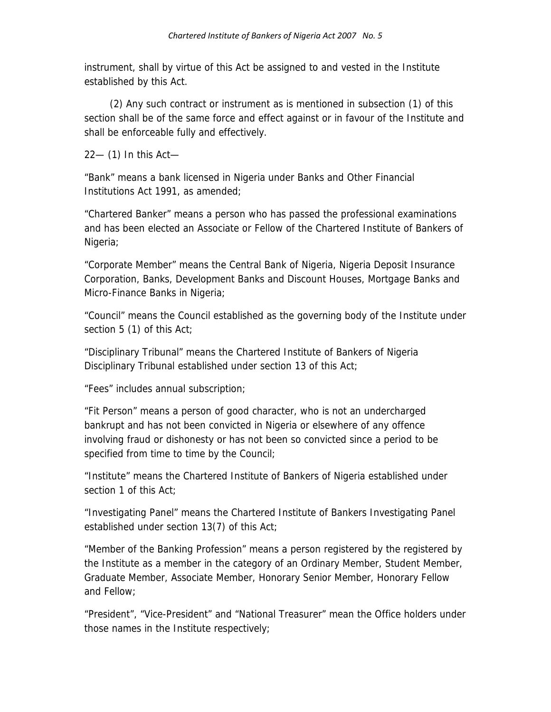instrument, shall by virtue of this Act be assigned to and vested in the Institute established by this Act.

 (2) Any such contract or instrument as is mentioned in subsection (1) of this section shall be of the same force and effect against or in favour of the Institute and shall be enforceable fully and effectively.

22— (1) In this Act—

"Bank" means a bank licensed in Nigeria under Banks and Other Financial Institutions Act 1991, as amended;

"Chartered Banker" means a person who has passed the professional examinations and has been elected an Associate or Fellow of the Chartered Institute of Bankers of Nigeria;

"Corporate Member" means the Central Bank of Nigeria, Nigeria Deposit Insurance Corporation, Banks, Development Banks and Discount Houses, Mortgage Banks and Micro-Finance Banks in Nigeria;

"Council" means the Council established as the governing body of the Institute under section 5 (1) of this Act;

"Disciplinary Tribunal" means the Chartered Institute of Bankers of Nigeria Disciplinary Tribunal established under section 13 of this Act;

"Fees" includes annual subscription;

"Fit Person" means a person of good character, who is not an undercharged bankrupt and has not been convicted in Nigeria or elsewhere of any offence involving fraud or dishonesty or has not been so convicted since a period to be specified from time to time by the Council;

"Institute" means the Chartered Institute of Bankers of Nigeria established under section 1 of this Act;

"Investigating Panel" means the Chartered Institute of Bankers Investigating Panel established under section 13(7) of this Act;

"Member of the Banking Profession" means a person registered by the registered by the Institute as a member in the category of an Ordinary Member, Student Member, Graduate Member, Associate Member, Honorary Senior Member, Honorary Fellow and Fellow;

"President", "Vice-President" and "National Treasurer" mean the Office holders under those names in the Institute respectively;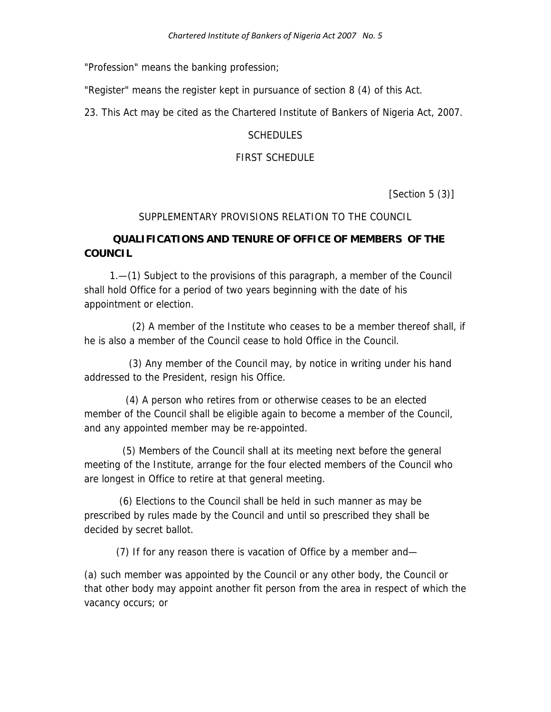"Profession" means the banking profession;

"Register" means the register kept in pursuance of section 8 (4) of this Act.

23. This Act may be cited as the Chartered Institute of Bankers of Nigeria Act, 2007.

#### **SCHEDULES**

#### FIRST SCHEDULE

[Section 5 (3)]

#### SUPPLEMENTARY PROVISIONS RELATION TO THE COUNCIL

### **QUALIFICATIONS AND TENURE OF OFFICE OF MEMBERS OF THE COUNCIL**

 1.—(1) Subject to the provisions of this paragraph, a member of the Council shall hold Office for a period of two years beginning with the date of his appointment or election.

 (2) A member of the Institute who ceases to be a member thereof shall, if he is also a member of the Council cease to hold Office in the Council.

 (3) Any member of the Council may, by notice in writing under his hand addressed to the President, resign his Office.

 (4) A person who retires from or otherwise ceases to be an elected member of the Council shall be eligible again to become a member of the Council, and any appointed member may be re-appointed.

 (5) Members of the Council shall at its meeting next before the general meeting of the Institute, arrange for the four elected members of the Council who are longest in Office to retire at that general meeting.

 (6) Elections to the Council shall be held in such manner as may be prescribed by rules made by the Council and until so prescribed they shall be decided by secret ballot.

(7) If for any reason there is vacation of Office by a member and—

(a) such member was appointed by the Council or any other body, the Council or that other body may appoint another fit person from the area in respect of which the vacancy occurs; or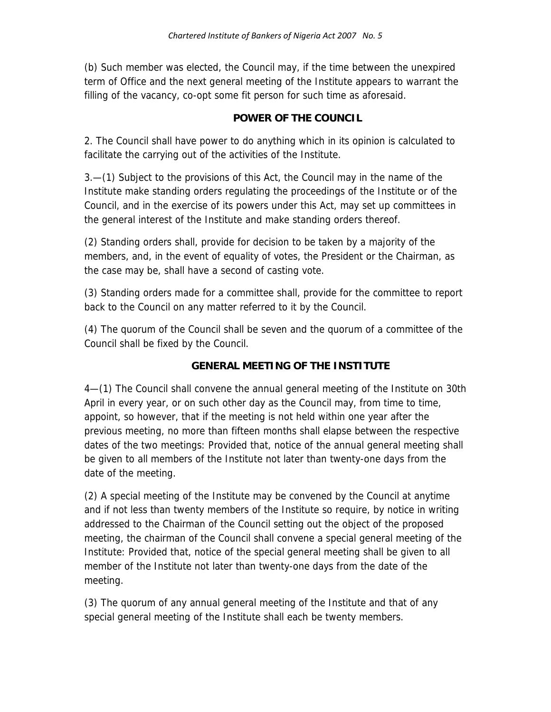(b) Such member was elected, the Council may, if the time between the unexpired term of Office and the next general meeting of the Institute appears to warrant the filling of the vacancy, co-opt some fit person for such time as aforesaid.

### **POWER OF THE COUNCIL**

2. The Council shall have power to do anything which in its opinion is calculated to facilitate the carrying out of the activities of the Institute.

3.—(1) Subject to the provisions of this Act, the Council may in the name of the Institute make standing orders regulating the proceedings of the Institute or of the Council, and in the exercise of its powers under this Act, may set up committees in the general interest of the Institute and make standing orders thereof.

(2) Standing orders shall, provide for decision to be taken by a majority of the members, and, in the event of equality of votes, the President or the Chairman, as the case may be, shall have a second of casting vote.

(3) Standing orders made for a committee shall, provide for the committee to report back to the Council on any matter referred to it by the Council.

(4) The quorum of the Council shall be seven and the quorum of a committee of the Council shall be fixed by the Council.

## **GENERAL MEETING OF THE INSTITUTE**

4—(1) The Council shall convene the annual general meeting of the Institute on 30th April in every year, or on such other day as the Council may, from time to time, appoint, so however, that if the meeting is not held within one year after the previous meeting, no more than fifteen months shall elapse between the respective dates of the two meetings: Provided that, notice of the annual general meeting shall be given to all members of the Institute not later than twenty-one days from the date of the meeting.

(2) A special meeting of the Institute may be convened by the Council at anytime and if not less than twenty members of the Institute so require, by notice in writing addressed to the Chairman of the Council setting out the object of the proposed meeting, the chairman of the Council shall convene a special general meeting of the Institute: Provided that, notice of the special general meeting shall be given to all member of the Institute not later than twenty-one days from the date of the meeting.

(3) The quorum of any annual general meeting of the Institute and that of any special general meeting of the Institute shall each be twenty members.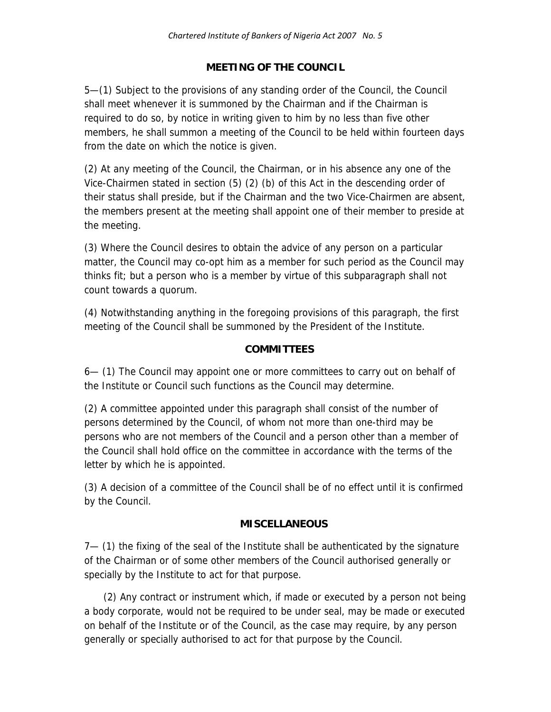### **MEETING OF THE COUNCIL**

5—(1) Subject to the provisions of any standing order of the Council, the Council shall meet whenever it is summoned by the Chairman and if the Chairman is required to do so, by notice in writing given to him by no less than five other members, he shall summon a meeting of the Council to be held within fourteen days from the date on which the notice is given.

(2) At any meeting of the Council, the Chairman, or in his absence any one of the Vice-Chairmen stated in section (5) (2) (b) of this Act in the descending order of their status shall preside, but if the Chairman and the two Vice-Chairmen are absent, the members present at the meeting shall appoint one of their member to preside at the meeting.

(3) Where the Council desires to obtain the advice of any person on a particular matter, the Council may co-opt him as a member for such period as the Council may thinks fit; but a person who is a member by virtue of this subparagraph shall not count towards a quorum.

(4) Notwithstanding anything in the foregoing provisions of this paragraph, the first meeting of the Council shall be summoned by the President of the Institute.

### **COMMITTEES**

6— (1) The Council may appoint one or more committees to carry out on behalf of the Institute or Council such functions as the Council may determine.

(2) A committee appointed under this paragraph shall consist of the number of persons determined by the Council, of whom not more than one-third may be persons who are not members of the Council and a person other than a member of the Council shall hold office on the committee in accordance with the terms of the letter by which he is appointed.

(3) A decision of a committee of the Council shall be of no effect until it is confirmed by the Council.

### **MISCELLANEOUS**

7— (1) the fixing of the seal of the Institute shall be authenticated by the signature of the Chairman or of some other members of the Council authorised generally or specially by the Institute to act for that purpose.

 (2) Any contract or instrument which, if made or executed by a person not being a body corporate, would not be required to be under seal, may be made or executed on behalf of the Institute or of the Council, as the case may require, by any person generally or specially authorised to act for that purpose by the Council.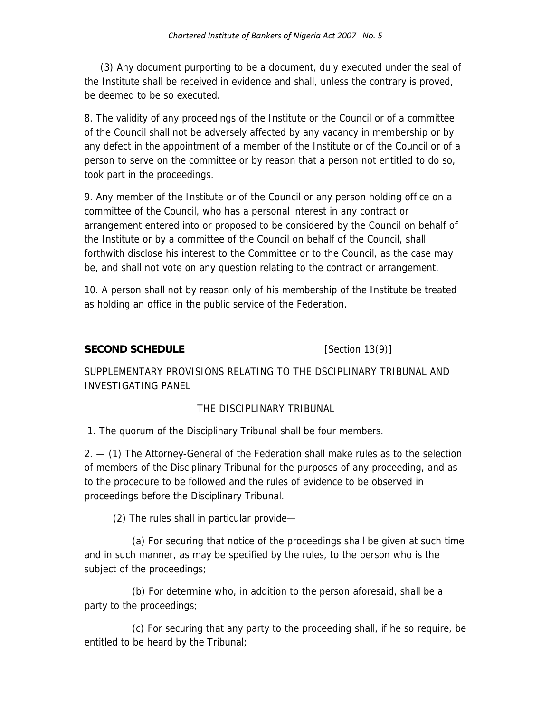(3) Any document purporting to be a document, duly executed under the seal of the Institute shall be received in evidence and shall, unless the contrary is proved, be deemed to be so executed.

8. The validity of any proceedings of the Institute or the Council or of a committee of the Council shall not be adversely affected by any vacancy in membership or by any defect in the appointment of a member of the Institute or of the Council or of a person to serve on the committee or by reason that a person not entitled to do so, took part in the proceedings.

9. Any member of the Institute or of the Council or any person holding office on a committee of the Council, who has a personal interest in any contract or arrangement entered into or proposed to be considered by the Council on behalf of the Institute or by a committee of the Council on behalf of the Council, shall forthwith disclose his interest to the Committee or to the Council, as the case may be, and shall not vote on any question relating to the contract or arrangement.

10. A person shall not by reason only of his membership of the Institute be treated as holding an office in the public service of the Federation.

#### **SECOND SCHEDULE** [Section 13(9)]

SUPPLEMENTARY PROVISIONS RELATING TO THE DSCIPLINARY TRIBUNAL AND INVESTIGATING PANEL

### THE DISCIPLINARY TRIBUNAL

1. The quorum of the Disciplinary Tribunal shall be four members.

2. — (1) The Attorney-General of the Federation shall make rules as to the selection of members of the Disciplinary Tribunal for the purposes of any proceeding, and as to the procedure to be followed and the rules of evidence to be observed in proceedings before the Disciplinary Tribunal.

(2) The rules shall in particular provide—

 (a) For securing that notice of the proceedings shall be given at such time and in such manner, as may be specified by the rules, to the person who is the subject of the proceedings;

 (b) For determine who, in addition to the person aforesaid, shall be a party to the proceedings;

 (c) For securing that any party to the proceeding shall, if he so require, be entitled to be heard by the Tribunal;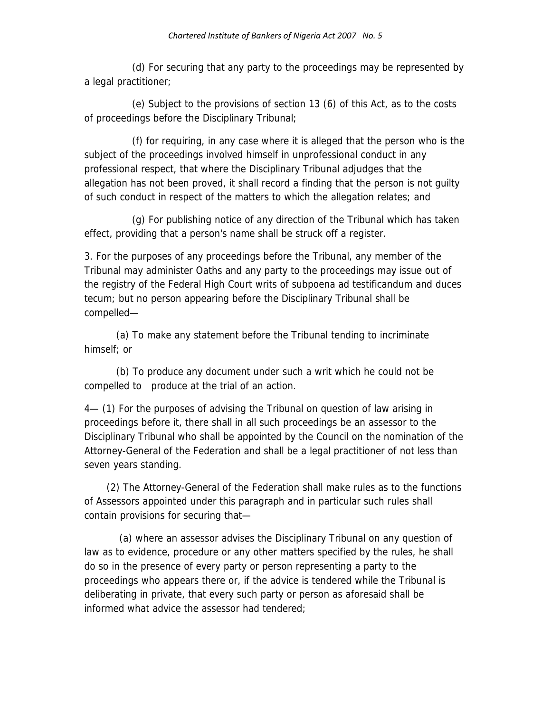(d) For securing that any party to the proceedings may be represented by a legal practitioner;

 (e) Subject to the provisions of section 13 (6) of this Act, as to the costs of proceedings before the Disciplinary Tribunal;

 (f) for requiring, in any case where it is alleged that the person who is the subject of the proceedings involved himself in unprofessional conduct in any professional respect, that where the Disciplinary Tribunal adjudges that the allegation has not been proved, it shall record a finding that the person is not guilty of such conduct in respect of the matters to which the allegation relates; and

 (g) For publishing notice of any direction of the Tribunal which has taken effect, providing that a person's name shall be struck off a register.

3. For the purposes of any proceedings before the Tribunal, any member of the Tribunal may administer Oaths and any party to the proceedings may issue out of the registry of the Federal High Court writs of subpoena ad testificandum and duces tecum; but no person appearing before the Disciplinary Tribunal shall be compelled—

 (a) To make any statement before the Tribunal tending to incriminate himself; or

 (b) To produce any document under such a writ which he could not be compelled to produce at the trial of an action.

4— (1) For the purposes of advising the Tribunal on question of law arising in proceedings before it, there shall in all such proceedings be an assessor to the Disciplinary Tribunal who shall be appointed by the Council on the nomination of the Attorney-General of the Federation and shall be a legal practitioner of not less than seven years standing.

 (2) The Attorney-General of the Federation shall make rules as to the functions of Assessors appointed under this paragraph and in particular such rules shall contain provisions for securing that—

 (a) where an assessor advises the Disciplinary Tribunal on any question of law as to evidence, procedure or any other matters specified by the rules, he shall do so in the presence of every party or person representing a party to the proceedings who appears there or, if the advice is tendered while the Tribunal is deliberating in private, that every such party or person as aforesaid shall be informed what advice the assessor had tendered;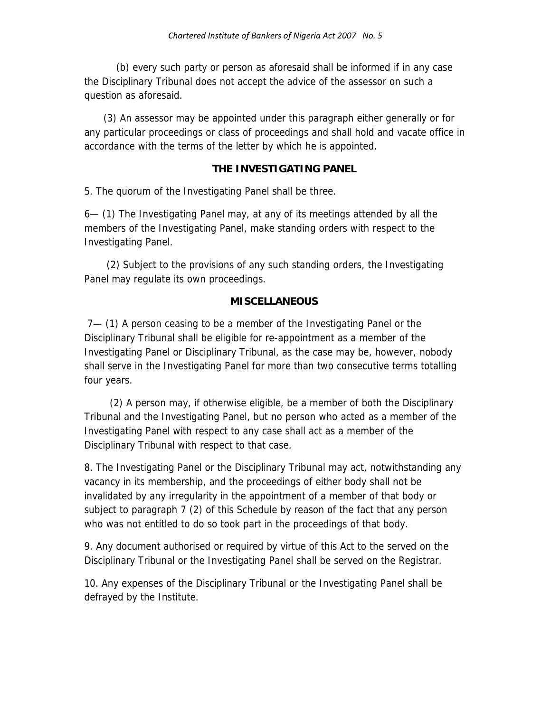(b) every such party or person as aforesaid shall be informed if in any case the Disciplinary Tribunal does not accept the advice of the assessor on such a question as aforesaid.

 (3) An assessor may be appointed under this paragraph either generally or for any particular proceedings or class of proceedings and shall hold and vacate office in accordance with the terms of the letter by which he is appointed.

#### **THE INVESTIGATING PANEL**

5. The quorum of the Investigating Panel shall be three.

6— (1) The Investigating Panel may, at any of its meetings attended by all the members of the Investigating Panel, make standing orders with respect to the Investigating Panel.

 (2) Subject to the provisions of any such standing orders, the Investigating Panel may regulate its own proceedings.

#### **MISCELLANEOUS**

 7— (1) A person ceasing to be a member of the Investigating Panel or the Disciplinary Tribunal shall be eligible for re-appointment as a member of the Investigating Panel or Disciplinary Tribunal, as the case may be, however, nobody shall serve in the Investigating Panel for more than two consecutive terms totalling four years.

 (2) A person may, if otherwise eligible, be a member of both the Disciplinary Tribunal and the Investigating Panel, but no person who acted as a member of the Investigating Panel with respect to any case shall act as a member of the Disciplinary Tribunal with respect to that case.

8. The Investigating Panel or the Disciplinary Tribunal may act, notwithstanding any vacancy in its membership, and the proceedings of either body shall not be invalidated by any irregularity in the appointment of a member of that body or subject to paragraph 7 (2) of this Schedule by reason of the fact that any person who was not entitled to do so took part in the proceedings of that body.

9. Any document authorised or required by virtue of this Act to the served on the Disciplinary Tribunal or the Investigating Panel shall be served on the Registrar.

10. Any expenses of the Disciplinary Tribunal or the Investigating Panel shall be defrayed by the Institute.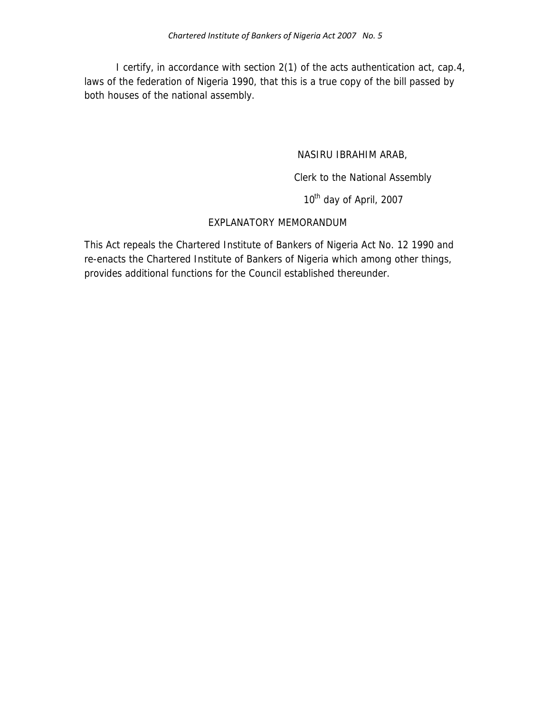I certify, in accordance with section 2(1) of the acts authentication act, cap.4, laws of the federation of Nigeria 1990, that this is a true copy of the bill passed by both houses of the national assembly.

#### NASIRU IBRAHIM ARAB,

Clerk to the National Assembly

10<sup>th</sup> day of April, 2007

### EXPLANATORY MEMORANDUM

This Act repeals the Chartered Institute of Bankers of Nigeria Act No. 12 1990 and re-enacts the Chartered Institute of Bankers of Nigeria which among other things, provides additional functions for the Council established thereunder.